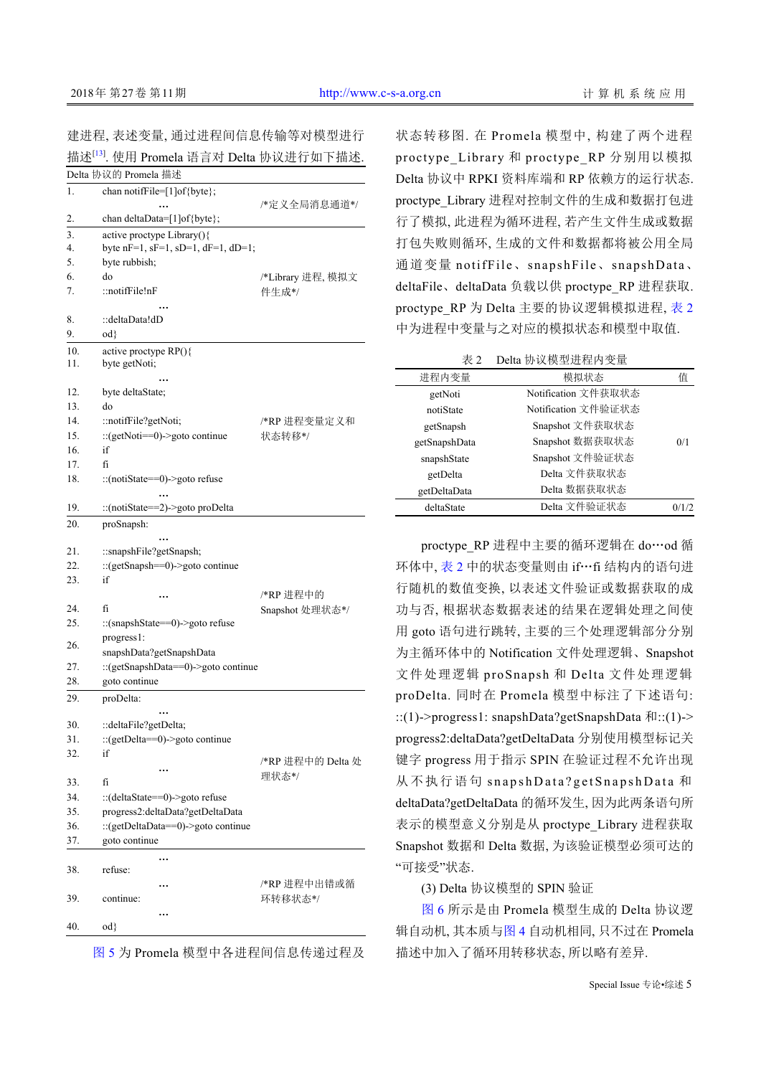建进程, 表述变量, 通过进程间信息传输等对模型进行 描述<sup>[\[13](#page-7-0)]</sup>. 使用 Promela 语言对 Delta 协议进行如下描述.

|                  | Delta 协议的 Promela 描述                      |                   |
|------------------|-------------------------------------------|-------------------|
| 1.               | chan notiffile=[1]of{byte};               |                   |
|                  |                                           | /*定义全局消息通道*/      |
| 2.               | chan deltaData=[1]of{byte};               |                   |
| $\overline{3}$ . | active proctype Library(){                |                   |
| 4.               | byte nF=1, sF=1, sD=1, dF=1, dD=1;        |                   |
| 5.               | byte rubbish;                             |                   |
| 6.               | do                                        | /*Library 进程, 模拟文 |
| 7.               | ::notifFile!nF                            | 件生成*/             |
|                  |                                           |                   |
| 8.               | ∷deltaData!dD                             |                   |
| 9.               | $od\}$                                    |                   |
| 10.              | active proctype $RP()$                    |                   |
| 11.              | byte getNoti;                             |                   |
|                  |                                           |                   |
| 12.              | byte deltaState;                          |                   |
| 13.              | do                                        |                   |
| 14.              | ::notifFile?getNoti;                      | /*RP 进程变量定义和      |
| 15.<br>16.       | :: $(getNoti==0)$ ->goto continue<br>if   | 状态转移*/            |
|                  |                                           |                   |
| 17.              | fí                                        |                   |
| 18.              | ::(notiState==0)->goto refuse             |                   |
| 19.              | ::(notiState==2)->goto proDelta           |                   |
|                  |                                           |                   |
| 20.              | proSnapsh:                                |                   |
| 21.              | ::snapshFile?getSnapsh;                   |                   |
| 22.              | ::(getSnapsh==0)->goto continue           |                   |
| 23.              | if                                        |                   |
|                  |                                           | /*RP 进程中的         |
| 24.              | fí                                        | Snapshot 处理状态*/   |
| 25.              | ::(snapshState==0)->goto refuse           |                   |
|                  | progress1:                                |                   |
| 26.              | snapshData?getSnapshData                  |                   |
| 27.              | ::(getSnapshData==0)->goto continue       |                   |
| 28.              | goto continue                             |                   |
| 29.              | proDelta:                                 |                   |
|                  |                                           |                   |
| 30.              | ::deltaFile?getDelta;                     |                   |
| 31.              | ::(getDelta==0)->goto continue            |                   |
| 32.              | if                                        |                   |
|                  |                                           | /*RP 进程中的 Delta 处 |
| 33.              | fí                                        | 理状态*/             |
| 34.              | $\therefore$ (deltaState==0)->goto refuse |                   |
| 35.              | progress2:deltaData?getDeltaData          |                   |
| 36.              | ::(getDeltaData==0)->goto continue        |                   |
| 37.              | goto continue                             |                   |
|                  |                                           |                   |
| 38.              | refuse:                                   |                   |
|                  |                                           | /*RP 进程中出错或循      |
| 39.              | continue:                                 | 环转移状态*/           |
|                  |                                           |                   |
| 40.              | $od\}$                                    |                   |

[图](#page-5-0) [5](#page-5-0) 为 Promela 模型中各进程间信息传递过程及

状[态转移](#page-5-0)图. 在 Promela 模型中, 构建了两个进程 proctype Library 和 proctype RP 分别用以模拟 Delta 协议中 RPKI 资料库端和 RP 依赖方的运行状态. proctype Library 进程对控制文件的生成和数据打包进 行了模拟, 此进程为循环进程, 若产生文件生成或数据 打包失败则循环, 生成的文件和数据都将被公用全局 通道变量 notifFile、snapshFile、snapshData、 deltaFile、deltaData 负载以供 proctype\_RP 进程获取. proctype RP 为 Delta 主要的协议逻辑模拟进程, [表](#page-3-0) [2](#page-3-0) 中为进程中变量与之对应的模拟状态和模型中取值.

表 2 Delta 协议模型进程内变量

| 进程内变量         | 模拟状态                | 值     |
|---------------|---------------------|-------|
| getNoti       | Notification 文件获取状态 |       |
| notiState     | Notification 文件验证状态 |       |
| getSnapsh     | Snapshot 文件获取状态     |       |
| getSnapshData | Snapshot 数据获取状态     | 0/1   |
| snapshState   | Snapshot 文件验证状态     |       |
| getDelta      | Delta 文件获取状态        |       |
| getDeltaData  | Delta 数据获取状态        |       |
| deltaState    | Delta 文件验证状态        | 0/1/2 |

pro[ctype\\_](#page-3-0)RP 进程中主要的循环逻辑在 do…od 循 环体中, [表](#page-3-0) [2](#page-3-0) 中的状态变量则由 if…fi 结构内的语句进 行随机的数值变换, 以表述文件验证或数据获取的成 功与否, 根据状态数据表述的结果在逻辑处理之间使 用 goto 语句进行跳转, 主要的三个处理逻辑部分分别 为主循环体中的 Notification 文件处理逻辑、Snapshot 文件处理逻辑 proSnapsh 和 Delta 文件处理逻辑 proDelta. 同时在 Promela 模型中标注了下述语句: ::(1)->progress1: snapshData?getSnapshData 和::(1)-> progress2:deltaData?getDeltaData 分别使用模型标记关 键字 progress 用于指示 SPIN 在验证过程不允许出现 从不执行语句 snapshData?getSnapshData 和 deltaData?getDeltaData 的循环发生, 因为此两条语句所 表示的模型意义分别是从 proctype\_Library 进程获取 Snapshot 数据和 Delta 数据, 为该验证模型必须可达的 "可[接受](#page-5-1)["](#page-5-1)状态.

[\(3\) De](#page-5-1)lta 协议[模型的](#page-3-1) SPIN 验证

[图](#page-5-1) [6](#page-5-1) 所示是由 [Prom](#page-3-1)ela 模型生成的 Delta 协议逻 辑自动机, 其本质与[图](#page-3-1) [4](#page-3-1) 自动机相同, 只不过在 Promela 描述中加入了循环用转移状态, 所以略有差异.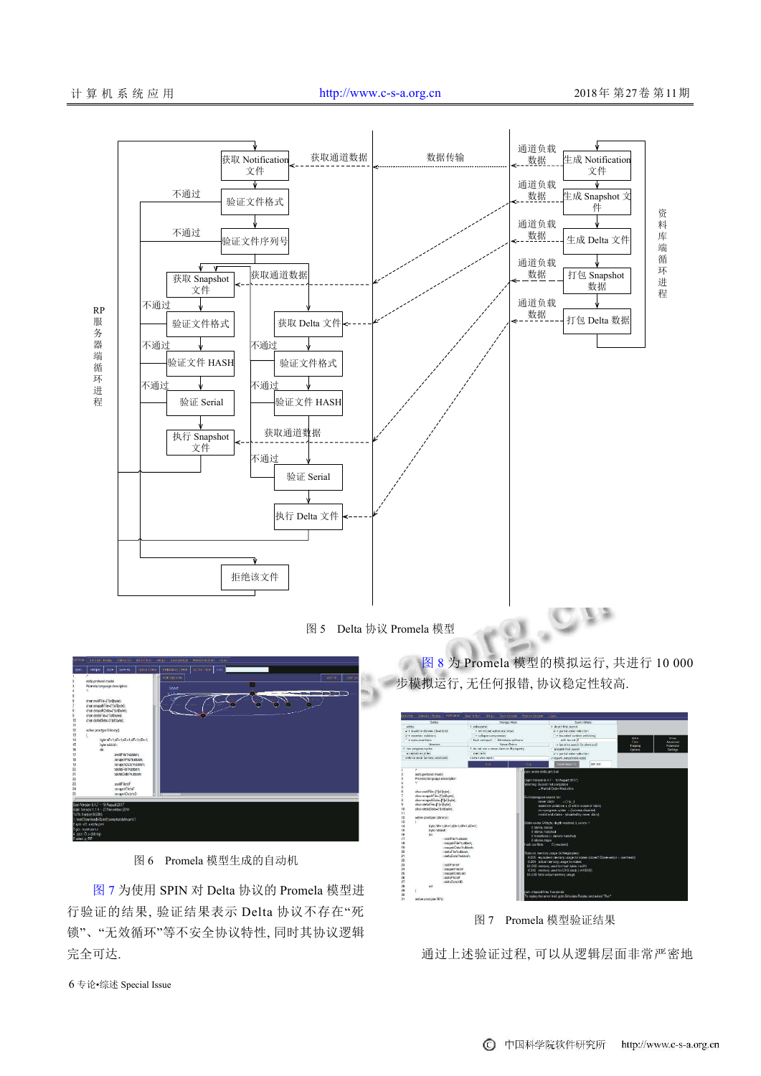

图 5 Delta 协议 Promela 模型

<span id="page-5-0"></span>

图 6 Promela 模型生成的自动机

<span id="page-5-1"></span>[图](#page-5-2) [7](#page-5-2) 为使用 SPIN 对 Delta 协议的 Promela 模型进 行验证的结果, 验证结果表示 Delta 协议不存在"死 锁"、"无效循环"等不安全协议特性, 同时其协议逻辑 完全可达.

[图](#page-6-0) [8](#page-6-0) 为 Promela 模型的模拟运行, 共进行 10 000 步模拟运行, 无任何报错, 协议稳定性较高.

 $-1$ 

| Edit View.                             |                            | Smaatz, Realty Hoff Glieff Gwam Rat Web-              |                                                     | Save Securities - Restrict Securities | <b>kGut</b>                                                                                                                                           |             |              |               |
|----------------------------------------|----------------------------|-------------------------------------------------------|-----------------------------------------------------|---------------------------------------|-------------------------------------------------------------------------------------------------------------------------------------------------------|-------------|--------------|---------------|
|                                        |                            | Safety                                                | Storage Mode                                        |                                       |                                                                                                                                                       | Scorch Mode |              |               |
| safety                                 |                            |                                                       | F. cultourthen                                      |                                       | · depth first search                                                                                                                                  |             |              |               |
|                                        |                            | + invalid endstates (deadbook)                        | + minimized automata (sigur)                        |                                       | $V +$ partial order reduction                                                                                                                         |             |              |               |
|                                        | $y +$ spection violations. |                                                       | $+$ collecte compression                            |                                       | + bounded context switching                                                                                                                           |             | <b>Shane</b> | <b>Siheaw</b> |
|                                        | + writes assortions        | Liveness.                                             | hash-compact: C bitstate/supertrace<br>Never Claims |                                       | with bound: 0                                                                                                                                         |             | Case         | Arbentreut    |
|                                        | · han progress eveles      |                                                       | + do not use a never clam or itl property           |                                       | + iterative worch for short trail.<br>Trapping                                                                                                        |             | Parsmotor    |               |
|                                        | acceptance cycles!         |                                                       | use claim.                                          |                                       | - hroadth arct search<br>v + partial order reduction                                                                                                  |             | Options      | Sottings:     |
|                                        |                            | enforce week farness constraint                       | claim name (cet);                                   |                                       | Preset urreschable code                                                                                                                               |             |              |               |
|                                        |                            |                                                       |                                                     |                                       | <b>Sistem Henri III</b>                                                                                                                               |             |              |               |
|                                        |                            |                                                       | <b>Thur</b>                                         | <b>STOP</b>                           |                                                                                                                                                       | pan.out     |              |               |
|                                        | ×                          |                                                       |                                                     | pan: wrote deta.prnt.trail            |                                                                                                                                                       |             |              |               |
|                                        |                            | cicita protocol model<br>Promole language description |                                                     |                                       |                                                                                                                                                       |             |              |               |
|                                        | $\ddot{\phantom{1}}$       |                                                       |                                                     |                                       | (Spin Version 6.4.7 - 19 August 2017)                                                                                                                 |             |              |               |
|                                        |                            |                                                       |                                                     |                                       | Warning: Search not completed                                                                                                                         |             |              |               |
|                                        |                            | chan notifile=[1]ol(byte);                            |                                                     |                                       | + Partial Order Regardian                                                                                                                             |             |              |               |
|                                        |                            | chan snapshFile-[1]of(byte);                          |                                                     |                                       |                                                                                                                                                       |             |              |               |
|                                        |                            | chan enapshData-f1loffbytel:                          |                                                     |                                       | Full statespace search for:<br>never claim<br>$+(np)$<br>assertion violations + 61 within scope of claim)<br>non-progress cycles » (laimess disabled) |             |              |               |
| ۵                                      |                            | chan detallite=(1)o(byte);                            |                                                     |                                       |                                                                                                                                                       |             |              |               |
| 10                                     |                            | chan deltaData=l11of(bytel)                           |                                                     |                                       |                                                                                                                                                       |             |              |               |
| 11                                     |                            |                                                       |                                                     |                                       | imatic end states - (disabled by never daim)                                                                                                          |             |              |               |
| 12                                     |                            | active proctype Library()                             |                                                     |                                       |                                                                                                                                                       |             |              |               |
| 13                                     |                            |                                                       |                                                     |                                       | State-vector 64 byte, depth reached 3, errors: 1                                                                                                      |             |              |               |
| 14                                     |                            | byte nF=1,sF=1,sD=1,dF=1,dD=1;                        |                                                     | 2 states, stored                      |                                                                                                                                                       |             |              |               |
| 15                                     |                            | tryto rubbish:                                        |                                                     | 0 states, inatched                    |                                                                                                                                                       |             |              |               |
| 16                                     |                            | da                                                    |                                                     |                                       | 2 transitions (= stored=matched)                                                                                                                      |             |              |               |
| 17                                     |                            | : moldFile?rubbish:                                   |                                                     | 0 złomic steps                        |                                                                                                                                                       |             |              |               |
| 18                                     |                            | ::srupshFile?rubbish;                                 |                                                     | hash conflicts:                       | 0 (resolved)                                                                                                                                          |             |              |               |
| 19<br>20                               |                            | :srupshData?rubbish;<br>point of the Problems         |                                                     |                                       |                                                                                                                                                       |             |              |               |
| 21                                     |                            | : vieltsData?rubbish:                                 |                                                     |                                       | Stats on memory usage (in Megabyles):                                                                                                                 |             |              |               |
| $\overline{\mathbf{z}}$                |                            |                                                       |                                                     |                                       | 0.000 equivalent memory usage for states (stored'(State-vector + overhead))                                                                           |             |              |               |
| 23                                     |                            | troffFleinF                                           |                                                     |                                       | 0.284 adjustmentory usage for states                                                                                                                  |             |              |               |
| 24                                     |                            | ::snapshFleisF                                        |                                                     |                                       | 64,000 memory used for heath table (-w24)                                                                                                             |             |              |               |
| 25                                     |                            | (tatalhOata)                                          |                                                     |                                       | 0.343 memory used for DFS stack (-m10000)<br>64.539 total actual memory usage                                                                         |             |              |               |
| 26                                     |                            | ::dotaFloidF                                          |                                                     |                                       |                                                                                                                                                       |             |              |               |
| 27                                     |                            | OhlistsOstivin                                        |                                                     |                                       |                                                                                                                                                       |             |              |               |
| 28                                     |                            | od                                                    |                                                     |                                       |                                                                                                                                                       |             |              |               |
| 29                                     |                            |                                                       |                                                     | pan: clagsed time 0 seconds           |                                                                                                                                                       |             |              |               |
| 30                                     |                            |                                                       |                                                     |                                       | To replay the error-trait, goto Simulate Replay and select "Run"                                                                                      |             |              |               |
| $\overline{31}$<br>active proctyce RPO |                            |                                                       |                                                     |                                       |                                                                                                                                                       |             |              |               |

图 7 Promela 模型验证结果

<span id="page-5-2"></span>通过上述验证过程, 可以从逻辑层面非常严密地

6 专论•综述 Special Issue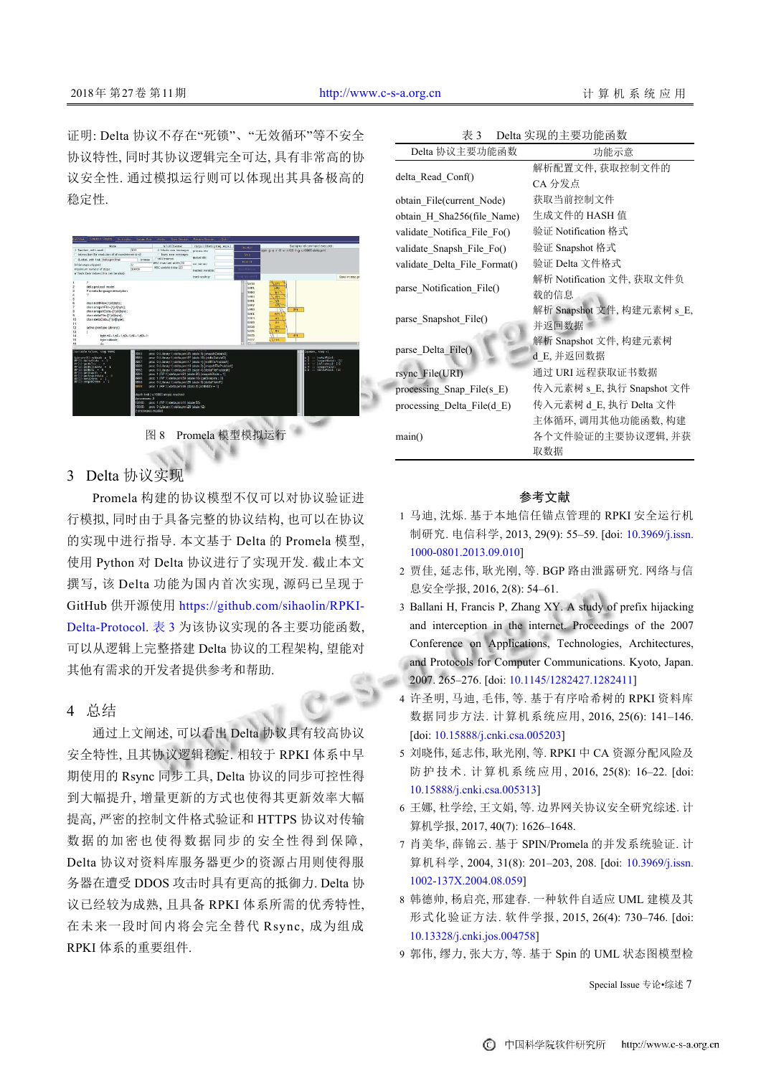证明: Delta 协议不存在"死锁"、"无效循环"等不安全 协议特性, 同时其协议逻辑完全可达, 具有非常高的协 议安全性. 通过模拟运行则可以体现出其具备极高的 稳定性.



图 8 Promela 模型模拟运行

## <span id="page-6-0"></span>3 Delta 协议实现

Promela 构建的协议模型不仅可以对协议验证进 行模拟, 同时由于具备完整的协议结构, 也可以在协议 的实现中进行指导. 本文基于 Delta 的 Promela 模型, 使用 Python 对 Delta 协议进行了实现开发. 截止本文 撰写, 该 Delta 功能为国内首次实现, 源码已呈现于 GitHub 供开源使用 [https://github.com/sihaolin/RPKI-](https://github.com/sihaolin/RPKI-Delta-Protocol)[Delta-Protocol](https://github.com/sihaolin/RPKI-Delta-Protocol). 表 3 为该协议实现的各主要功能函数, 可以从逻辑上完整搭建 Delta 协议的工程架构, 望能对 其他有需求的开发者提供参考和帮助.

## 4 总结

通过上文阐述, 可以看出 Delta 协议具有较高协议 安全特性, 且其协议逻辑稳定. 相较于 RPKI 体系中早 期使用的 Rsync 同步工具, Delta 协议的同步可控性得 到大幅提升, 增量更新的方式也使得其更新效率大幅 提高, 严密的控制文件格式验证和 HTTPS 协议对传输 数据的加密也使得数据同步的安全性得到保障, Delta 协议对资料库服务器更少的资源占用则使得服 务器在遭受 DDOS 攻击时具有更高的抵御力. Delta 协 议已经较为成熟, 且具备 RPKI 体系所需的优秀特性, 在未来一段时间内将会完全替代 Rsync, 成为组成 RPKI 体系的重要组件.

| 表 3 | Delta 实现的主要功能函数 |
|-----|-----------------|
|-----|-----------------|

| Delta 协议主要功能函数               | 功能示意                       |
|------------------------------|----------------------------|
|                              | 解析配置文件, 获取控制文件的            |
| delta Read Conf()            | CA 分发点                     |
| obtain File(current Node)    | 获取当前控制文件                   |
| obtain H Sha256(file Name)   | 生成文件的 HASH 值               |
| validate Notifica File Fo()  | 验证 Notification 格式         |
| validate Snapsh File Fo()    | 验证 Snapshot 格式             |
| validate_Delta_File_Format() | 验证 Delta 文件格式              |
|                              | 解析 Notification 文件, 获取文件负  |
| parse Notification File()    | 载的信息                       |
|                              | 解析 Snapshot 文件, 构建元素树 s E, |
| parse Snapshot File()        | 并返回数据                      |
|                              | 解析 Snapshot 文件, 构建元素树      |
| parse Delta File()           | d E, 并返回数据                 |
| rsync File(URI)              | 通过 URI 远程获取证书数据            |
| processing_Snap_File(s_E)    | 传入元素树 s E, 执行 Snapshot 文件  |
| processing Delta File(d E)   | 传入元素树 d E. 执行 Delta 文件     |
|                              | 主体循环,调用其他功能函数,构建           |
| main()                       | 各个文件验证的主要协议逻辑 并获           |
|                              | 取数据                        |

## 参考文献

- 马迪, 沈烁. 基于本地信任锚点管理的 RPKI 安全运行机 1 制研究. 电信科学, 2013, 29(9): 55–59. [doi: [10.3969/j.issn.](http://dx.doi.org/10.3969/j.issn.1000-0801.2013.09.010) [1000-0801.2013.09.010\]](http://dx.doi.org/10.3969/j.issn.1000-0801.2013.09.010)
- 贾佳, 延志伟, 耿光刚, 等. BGP 路由泄露研究. 网络与信 2 息安全学报, 2016, 2(8): 54–61.
- 3 Ballani H, Francis P, Zhang XY. A study of prefix hijacking and interception in the internet. Proceedings of the 2007 Conference on Applications, Technologies, Architectures, and Protocols for Computer Communications. Kyoto, Japan. 2007. 265–276. [doi: [10.1145/1282427.1282411](http://dx.doi.org/10.1145/1282427.1282411)]
- 4 许圣明, 马迪, 毛伟, 等. 基于有序哈希树的 RPKI 资料库 数据同步方法. 计算机系统应用, 2016, 25(6): 141–146. [doi: [10.15888/j.cnki.csa.005203](http://dx.doi.org/10.15888/j.cnki.csa.005203)]
- 刘晓伟, 延志伟, 耿光刚, 等. RPKI 中 CA 资源分配风险及 5 防护技术. 计算机系统应用, 2016, 25(8): 16–22. [doi: [10.15888/j.cnki.csa.005313](http://dx.doi.org/10.15888/j.cnki.csa.005313)]
- 6 王娜, 杜学绘, 王文娟, 等. 边界网关协议安全研究综述. 计 算机学报, 2017, 40(7): 1626–1648.
- 肖美华, 薛锦云. 基于 SPIN/Promela 的并发系统验证. 计 7 算机科学, 2004, 31(8): 201–203, 208. [doi: [10.3969/j.issn.](http://dx.doi.org/10.3969/j.issn.1002-137X.2004.08.059) [1002-137X.2004.08.059\]](http://dx.doi.org/10.3969/j.issn.1002-137X.2004.08.059)
- 韩德帅, 杨启亮, 邢建春. 一种软件自适应 UML 建模及其 8 形式化验证方法. 软件学报, 2015, 26(4): 730–746. [doi: [10.13328/j.cnki.jos.004758](http://dx.doi.org/10.13328/j.cnki.jos.004758)]
- 9 郭伟, 缪力, 张大方, 等. 基于 Spin 的 UML 状态图模型检

Special Issue 专论•综述 7